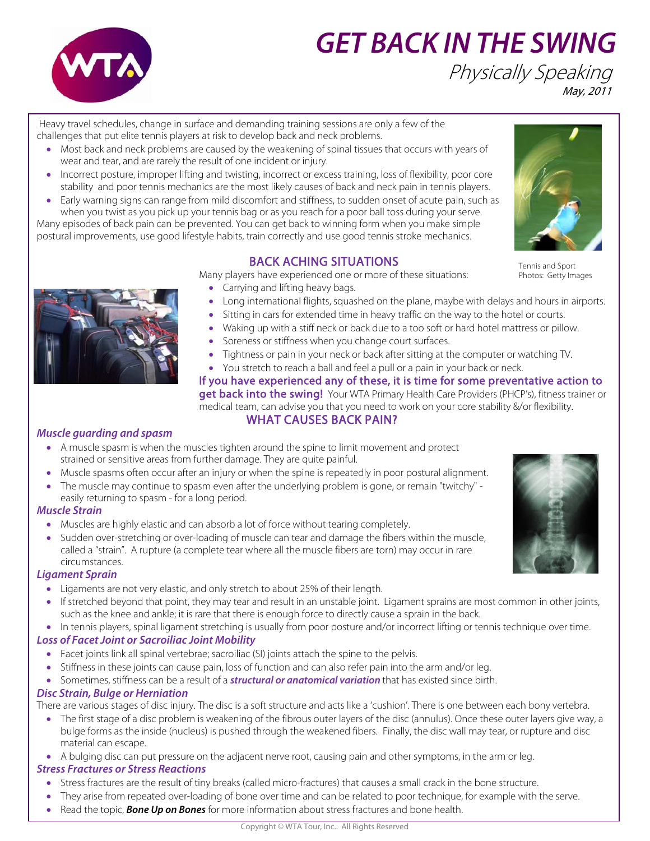

# **GET BACK IN THE SWING** Physically Speaking May, 2011

 Heavy travel schedules, change in surface and demanding training sessions are only a few of the challenges that put elite tennis players at risk to develop back and neck problems.

- Most back and neck problems are caused by the weakening of spinal tissues that occurs with years of wear and tear, and are rarely the result of one incident or injury.
- Incorrect posture, improper lifting and twisting, incorrect or excess training, loss of flexibility, poor core stability and poor tennis mechanics are the most likely causes of back and neck pain in tennis players.
- Early warning signs can range from mild discomfort and stiffness, to sudden onset of acute pain, such as when you twist as you pick up your tennis bag or as you reach for a poor ball toss during your serve.

Many episodes of back pain can be prevented. You can get back to winning form when you make simple postural improvements, use good lifestyle habits, train correctly and use good tennis stroke mechanics.

## BACK ACHING SITUATIONS

Many players have experienced one or more of these situations:

- Carrying and lifting heavy bags.
- Long international flights, squashed on the plane, maybe with delays and hours in airports.
- Sitting in cars for extended time in heavy traffic on the way to the hotel or courts.
- Waking up with a stiff neck or back due to a too soft or hard hotel mattress or pillow.
- Soreness or stiffness when you change court surfaces.
- Tightness or pain in your neck or back after sitting at the computer or watching TV.
- You stretch to reach a ball and feel a pull or a pain in your back or neck. If you have experienced any of these, it is time for some preventative action to get back into the swing! Your WTA Primary Health Care Providers (PHCP's), fitness trainer or

medical team, can advise you that you need to work on your core stability &/or flexibility. WHAT CAUSES BACK PAIN?

#### **Muscle guarding and spasm**

- A muscle spasm is when the muscles tighten around the spine to limit movement and protect strained or sensitive areas from further damage. They are quite painful.
- Muscle spasms often occur after an injury or when the spine is repeatedly in poor postural alignment.
- The muscle may continue to spasm even after the underlying problem is gone, or remain "twitchy" easily returning to spasm - for a long period.

#### **Muscle Strain**

- Muscles are highly elastic and can absorb a lot of force without tearing completely.
- Sudden over-stretching or over-loading of muscle can tear and damage the fibers within the muscle, called a "strain". A rupture (a complete tear where all the muscle fibers are torn) may occur in rare circumstances.

#### **Ligament Sprain**

- Ligaments are not very elastic, and only stretch to about 25% of their length.
- If stretched beyond that point, they may tear and result in an unstable joint. Ligament sprains are most common in other joints, such as the knee and ankle; it is rare that there is enough force to directly cause a sprain in the back.

• In tennis players, spinal ligament stretching is usually from poor posture and/or incorrect lifting or tennis technique over time.

## **Loss of Facet Joint or Sacroiliac Joint Mobility**

- Facet joints link all spinal vertebrae; sacroiliac (SI) joints attach the spine to the pelvis.
- Stiffness in these joints can cause pain, loss of function and can also refer pain into the arm and/or leg.

• Sometimes, stiffness can be a result of a **structural or anatomical variation** that has existed since birth.

#### **Disc Strain, Bulge or Herniation**

There are various stages of disc injury. The disc is a soft structure and acts like a 'cushion'. There is one between each bony vertebra.

• The first stage of a disc problem is weakening of the fibrous outer layers of the disc (annulus). Once these outer layers give way, a bulge forms as the inside (nucleus) is pushed through the weakened fibers. Finally, the disc wall may tear, or rupture and disc material can escape.

• A bulging disc can put pressure on the adjacent nerve root, causing pain and other symptoms, in the arm or leg.

#### **Stress Fractures or Stress Reactions**

- Stress fractures are the result of tiny breaks (called micro-fractures) that causes a small crack in the bone structure.
- They arise from repeated over-loading of bone over time and can be related to poor technique, for example with the serve.
	- Read the topic, **Bone Up on Bones** for more information about stress fractures and bone health.